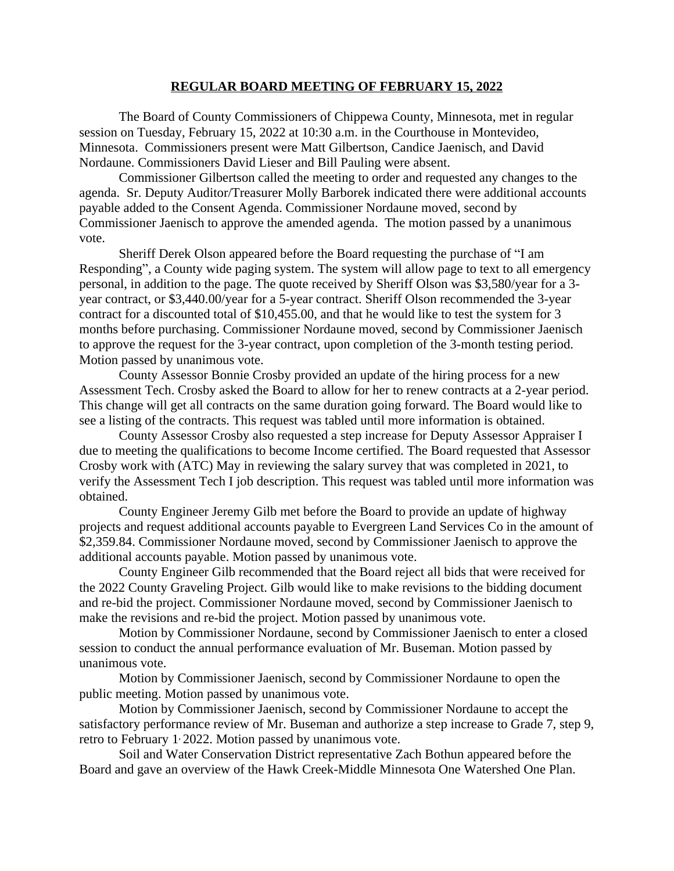## **REGULAR BOARD MEETING OF FEBRUARY 15, 2022**

The Board of County Commissioners of Chippewa County, Minnesota, met in regular session on Tuesday, February 15, 2022 at 10:30 a.m. in the Courthouse in Montevideo, Minnesota. Commissioners present were Matt Gilbertson, Candice Jaenisch, and David Nordaune. Commissioners David Lieser and Bill Pauling were absent.

Commissioner Gilbertson called the meeting to order and requested any changes to the agenda. Sr. Deputy Auditor/Treasurer Molly Barborek indicated there were additional accounts payable added to the Consent Agenda. Commissioner Nordaune moved, second by Commissioner Jaenisch to approve the amended agenda. The motion passed by a unanimous vote.

Sheriff Derek Olson appeared before the Board requesting the purchase of "I am Responding", a County wide paging system. The system will allow page to text to all emergency personal, in addition to the page. The quote received by Sheriff Olson was \$3,580/year for a 3 year contract, or \$3,440.00/year for a 5-year contract. Sheriff Olson recommended the 3-year contract for a discounted total of \$10,455.00, and that he would like to test the system for 3 months before purchasing. Commissioner Nordaune moved, second by Commissioner Jaenisch to approve the request for the 3-year contract, upon completion of the 3-month testing period. Motion passed by unanimous vote.

County Assessor Bonnie Crosby provided an update of the hiring process for a new Assessment Tech. Crosby asked the Board to allow for her to renew contracts at a 2-year period. This change will get all contracts on the same duration going forward. The Board would like to see a listing of the contracts. This request was tabled until more information is obtained.

County Assessor Crosby also requested a step increase for Deputy Assessor Appraiser I due to meeting the qualifications to become Income certified. The Board requested that Assessor Crosby work with (ATC) May in reviewing the salary survey that was completed in 2021, to verify the Assessment Tech I job description. This request was tabled until more information was obtained.

County Engineer Jeremy Gilb met before the Board to provide an update of highway projects and request additional accounts payable to Evergreen Land Services Co in the amount of \$2,359.84. Commissioner Nordaune moved, second by Commissioner Jaenisch to approve the additional accounts payable. Motion passed by unanimous vote.

County Engineer Gilb recommended that the Board reject all bids that were received for the 2022 County Graveling Project. Gilb would like to make revisions to the bidding document and re-bid the project. Commissioner Nordaune moved, second by Commissioner Jaenisch to make the revisions and re-bid the project. Motion passed by unanimous vote.

Motion by Commissioner Nordaune, second by Commissioner Jaenisch to enter a closed session to conduct the annual performance evaluation of Mr. Buseman. Motion passed by unanimous vote.

Motion by Commissioner Jaenisch, second by Commissioner Nordaune to open the public meeting. Motion passed by unanimous vote.

Motion by Commissioner Jaenisch, second by Commissioner Nordaune to accept the satisfactory performance review of Mr. Buseman and authorize a step increase to Grade 7, step 9, retro to February 1, 2022. Motion passed by unanimous vote.

Soil and Water Conservation District representative Zach Bothun appeared before the Board and gave an overview of the Hawk Creek-Middle Minnesota One Watershed One Plan.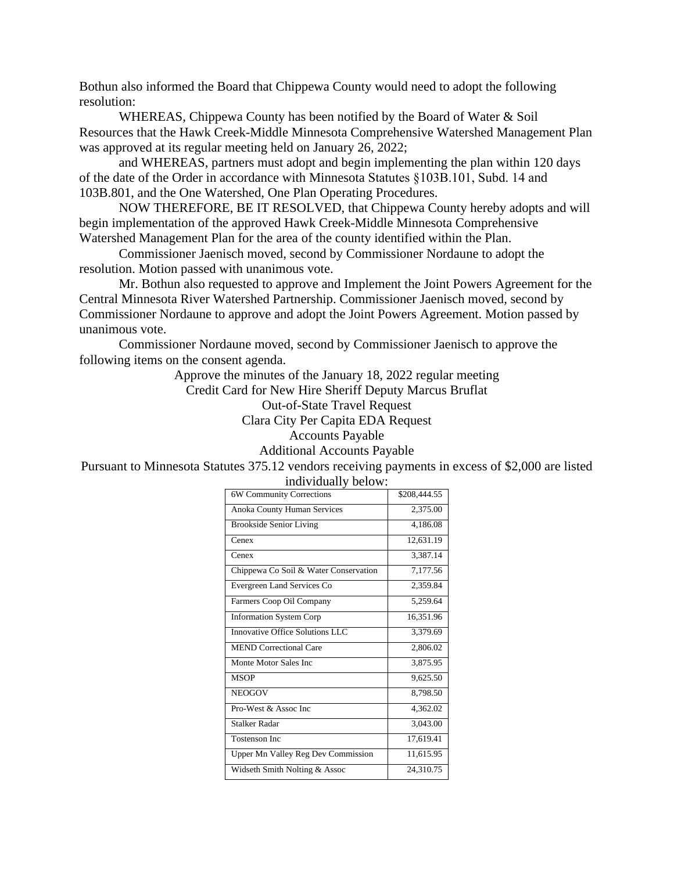Bothun also informed the Board that Chippewa County would need to adopt the following resolution:

WHEREAS, Chippewa County has been notified by the Board of Water & Soil Resources that the Hawk Creek-Middle Minnesota Comprehensive Watershed Management Plan was approved at its regular meeting held on January 26, 2022;

and WHEREAS, partners must adopt and begin implementing the plan within 120 days of the date of the Order in accordance with Minnesota Statutes §103B.101, Subd. 14 and 103B.801, and the One Watershed, One Plan Operating Procedures.

NOW THEREFORE, BE IT RESOLVED, that Chippewa County hereby adopts and will begin implementation of the approved Hawk Creek-Middle Minnesota Comprehensive Watershed Management Plan for the area of the county identified within the Plan.

Commissioner Jaenisch moved, second by Commissioner Nordaune to adopt the resolution. Motion passed with unanimous vote.

Mr. Bothun also requested to approve and Implement the Joint Powers Agreement for the Central Minnesota River Watershed Partnership. Commissioner Jaenisch moved, second by Commissioner Nordaune to approve and adopt the Joint Powers Agreement. Motion passed by unanimous vote.

Commissioner Nordaune moved, second by Commissioner Jaenisch to approve the following items on the consent agenda.

Approve the minutes of the January 18, 2022 regular meeting Credit Card for New Hire Sheriff Deputy Marcus Bruflat Out-of-State Travel Request Clara City Per Capita EDA Request Accounts Payable Additional Accounts Payable Pursuant to Minnesota Statutes 375.12 vendors receiving payments in excess of \$2,000 are listed

| 6W Community Corrections                  | \$208,444.55 |
|-------------------------------------------|--------------|
| <b>Anoka County Human Services</b>        | 2,375.00     |
| <b>Brookside Senior Living</b>            | 4,186.08     |
| Cenex                                     | 12,631.19    |
| Cenex                                     | 3,387.14     |
| Chippewa Co Soil & Water Conservation     | 7,177.56     |
| Evergreen Land Services Co                | 2,359.84     |
| Farmers Coop Oil Company                  | 5,259.64     |
| <b>Information System Corp</b>            | 16,351.96    |
| Innovative Office Solutions LLC           | 3,379.69     |
| <b>MEND Correctional Care</b>             | 2,806.02     |
| Monte Motor Sales Inc                     | 3,875.95     |
| <b>MSOP</b>                               | 9,625.50     |
| <b>NEOGOV</b>                             | 8,798.50     |
| Pro-West & Assoc Inc.                     | 4,362.02     |
| Stalker Radar                             | 3,043.00     |
| <b>Tostenson Inc</b>                      | 17,619.41    |
| <b>Upper Mn Valley Reg Dev Commission</b> | 11,615.95    |
| Widseth Smith Nolting & Assoc             | 24,310.75    |

individually below: